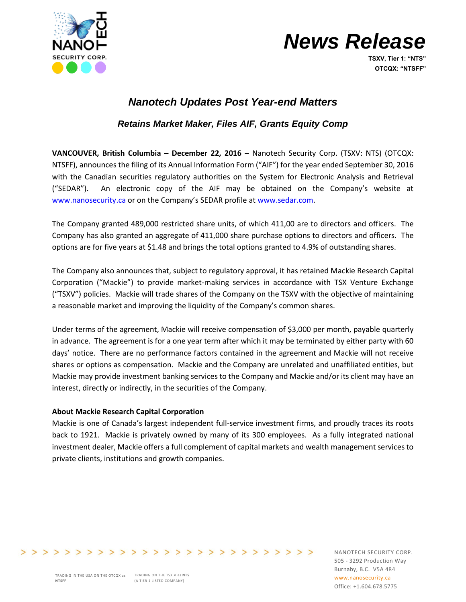

# *News Release*

**TSXV, Tier 1: "NTS" OTCQX: "NTSFF"**

## *Nanotech Updates Post Year-end Matters*

## *Retains Market Maker, Files AIF, Grants Equity Comp*

**VANCOUVER, British Columbia – December 22, 2016** – Nanotech Security Corp. (TSXV: NTS) (OTCQX: NTSFF), announces the filing of its Annual Information Form ("AIF") for the year ended September 30, 2016 with the Canadian securities regulatory authorities on the System for Electronic Analysis and Retrieval ("SEDAR"). An electronic copy of the AIF may be obtained on the Company's website at [www.nanosecurity.ca](http://www.nanosecurity.ca/) or on the Company's SEDAR profile at [www.sedar.com.](http://www.sedar.com/)

The Company granted 489,000 restricted share units, of which 411,00 are to directors and officers. The Company has also granted an aggregate of 411,000 share purchase options to directors and officers. The options are for five years at \$1.48 and brings the total options granted to 4.9% of outstanding shares.

The Company also announces that, subject to regulatory approval, it has retained Mackie Research Capital Corporation ("Mackie") to provide market-making services in accordance with TSX Venture Exchange ("TSXV") policies. Mackie will trade shares of the Company on the TSXV with the objective of maintaining a reasonable market and improving the liquidity of the Company's common shares.

Under terms of the agreement, Mackie will receive compensation of \$3,000 per month, payable quarterly in advance. The agreement is for a one year term after which it may be terminated by either party with 60 days' notice. There are no performance factors contained in the agreement and Mackie will not receive shares or options as compensation. Mackie and the Company are unrelated and unaffiliated entities, but Mackie may provide investment banking services to the Company and Mackie and/or its client may have an interest, directly or indirectly, in the securities of the Company.

### **About Mackie Research Capital Corporation**

Mackie is one of Canada's largest independent full-service investment firms, and proudly traces its roots back to 1921. Mackie is privately owned by many of its 300 employees. As a fully integrated national investment dealer, Mackie offers a full complement of capital markets and wealth management services to private clients, institutions and growth companies.

TRADING IN THE USA ON THE OTCQX as **TRADING ON THE TSX.V** as **NTS** (A TIER 1 LISTED COMPANY) **NTSFF**

>>>>>>>>>>>>>>>>>>>>>>>>>>>>>>>>

NANOTECH SECURITY CORP. 505 - 3292 Production Way Burnaby, B.C. V5A 4R4 www.nanosecurity.ca Office: +1.604.678.5775